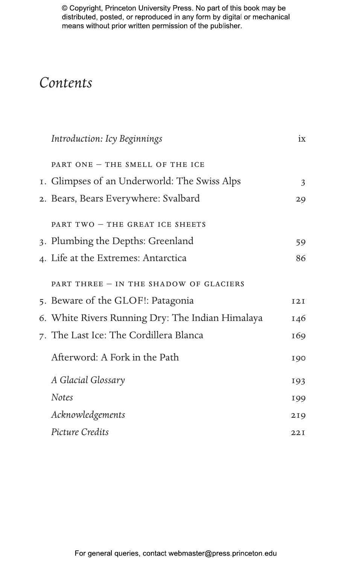# *Contents*

| Introduction: Icy Beginnings                     | ix  |
|--------------------------------------------------|-----|
| PART ONE - THE SMELL OF THE ICE                  |     |
| I. Glimpses of an Underworld: The Swiss Alps     | 3   |
| 2. Bears, Bears Everywhere: Svalbard             | 29  |
| PART TWO - THE GREAT ICE SHEETS                  |     |
| 3. Plumbing the Depths: Greenland                | 59  |
| 4. Life at the Extremes: Antarctica              | 86  |
| PART THREE - IN THE SHADOW OF GLACIERS           |     |
| 5. Beware of the GLOF!: Patagonia                | 12I |
| 6. White Rivers Running Dry: The Indian Himalaya | 146 |
| 7. The Last Ice: The Cordillera Blanca           | 169 |
| Afterword: A Fork in the Path                    | 190 |
| A Glacial Glossary                               | 193 |
| <b>Notes</b>                                     | 199 |
| Acknowledgements                                 | 219 |
| Picture Credits                                  | 22I |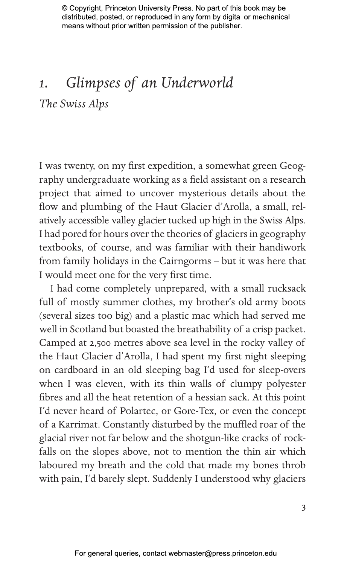# *1. Glimpses of an Underworld*

*The Swiss Alps*

I was twenty, on my first expedition, a somewhat green Geography undergraduate working as a field assistant on a research project that aimed to uncover mysterious details about the flow and plumbing of the Haut Glacier d'Arolla, a small, relatively accessible valley glacier tucked up high in the Swiss Alps. I had pored for hours over the theories of glaciers in geography textbooks, of course, and was familiar with their handiwork from family holidays in the Cairngorms – but it was here that I would meet one for the very first time.

I had come completely unprepared, with a small rucksack full of mostly summer clothes, my brother's old army boots (several sizes too big) and a plastic mac which had served me well in Scotland but boasted the breathability of a crisp packet. Camped at 2,500 metres above sea level in the rocky valley of the Haut Glacier d'Arolla, I had spent my first night sleeping on cardboard in an old sleeping bag I'd used for sleep-overs when I was eleven, with its thin walls of clumpy polyester fibres and all the heat retention of a hessian sack. At this point I'd never heard of Polartec, or Gore-Tex, or even the concept of a Karrimat. Constantly disturbed by the muffled roar of the glacial river not far below and the shotgun-like cracks of rockfalls on the slopes above, not to mention the thin air which laboured my breath and the cold that made my bones throb with pain, I'd barely slept. Suddenly I understood why glaciers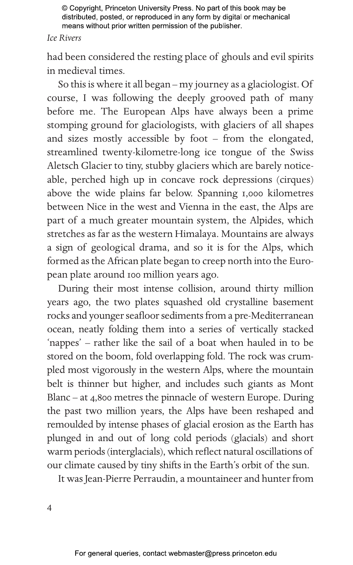### *Ice Rivers*

had been considered the resting place of ghouls and evil spirits in medieval times.

So this is where it all began – my journey as a glaciologist. Of course, I was following the deeply grooved path of many before me. The European Alps have always been a prime stomping ground for glaciologists, with glaciers of all shapes and sizes mostly accessible by foot – from the elongated, streamlined twenty-kilometre-long ice tongue of the Swiss Aletsch Glacier to tiny, stubby glaciers which are barely noticeable, perched high up in concave rock depressions (cirques) above the wide plains far below. Spanning 1,000 kilometres between Nice in the west and Vienna in the east, the Alps are part of a much greater mountain system, the Alpides, which stretches as far as the western Himalaya. Mountains are always a sign of geological drama, and so it is for the Alps, which formed as the African plate began to creep north into the European plate around 100 million years ago.

During their most intense collision, around thirty million years ago, the two plates squashed old crystalline basement rocks and younger seafloor sediments from a pre-Mediterranean ocean, neatly folding them into a series of vertically stacked 'nappes' – rather like the sail of a boat when hauled in to be stored on the boom, fold overlapping fold. The rock was crumpled most vigorously in the western Alps, where the mountain belt is thinner but higher, and includes such giants as Mont Blanc – at 4,800 metres the pinnacle of western Europe. During the past two million years, the Alps have been reshaped and remoulded by intense phases of glacial erosion as the Earth has plunged in and out of long cold periods (glacials) and short warm periods (interglacials), which reflect natural oscillations of our climate caused by tiny shifts in the Earth's orbit of the sun.

It was Jean-Pierre Perraudin, a mountaineer and hunter from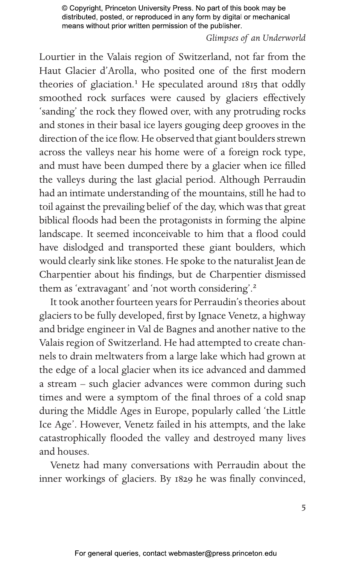#### *Glimpses of an Underworld*

Lourtier in the Valais region of Switzerland, not far from the Haut Glacier d'Arolla, who posited one of the first modern theories of glaciation.<sup>1</sup> He speculated around 1815 that oddly smoothed rock surfaces were caused by glaciers effectively 'sanding' the rock they flowed over, with any protruding rocks and stones in their basal ice layers gouging deep grooves in the direction of the ice flow. He observed that giant boulders strewn across the valleys near his home were of a foreign rock type, and must have been dumped there by a glacier when ice filled the valleys during the last glacial period. Although Perraudin had an intimate understanding of the mountains, still he had to toil against the prevailing belief of the day, which was that great biblical floods had been the protagonists in forming the alpine landscape. It seemed inconceivable to him that a flood could have dislodged and transported these giant boulders, which would clearly sink like stones. He spoke to the naturalist Jean de Charpentier about his findings, but de Charpentier dismissed them as 'extravagant' and 'not worth considering'.<sup>2</sup>

It took another fourteen years for Perraudin's theories about glaciers to be fully developed, first by Ignace Venetz, a highway and bridge engineer in Val de Bagnes and another native to the Valais region of Switzerland. He had attempted to create channels to drain meltwaters from a large lake which had grown at the edge of a local glacier when its ice advanced and dammed a stream – such glacier advances were common during such times and were a symptom of the final throes of a cold snap during the Middle Ages in Europe, popularly called 'the Little Ice Age'. However, Venetz failed in his attempts, and the lake catastrophically flooded the valley and destroyed many lives and houses.

Venetz had many conversations with Perraudin about the inner workings of glaciers. By 1829 he was finally convinced,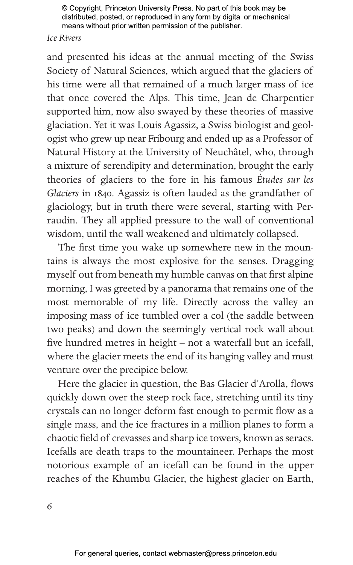# *Ice Rivers*

and presented his ideas at the annual meeting of the Swiss Society of Natural Sciences, which argued that the glaciers of his time were all that remained of a much larger mass of ice that once covered the Alps. This time, Jean de Charpentier supported him, now also swayed by these theories of massive glaciation. Yet it was Louis Agassiz, a Swiss biologist and geologist who grew up near Fribourg and ended up as a Professor of Natural History at the University of Neuchâtel, who, through a mixture of serendipity and determination, brought the early theories of glaciers to the fore in his famous *Études sur les Glaciers* in 1840. Agassiz is often lauded as the grandfather of glaciology, but in truth there were several, starting with Perraudin. They all applied pressure to the wall of conventional wisdom, until the wall weakened and ultimately collapsed.

The first time you wake up somewhere new in the mountains is always the most explosive for the senses. Dragging myself out from beneath my humble canvas on that first alpine morning, I was greeted by a panorama that remains one of the most memorable of my life. Directly across the valley an imposing mass of ice tumbled over a col (the saddle between two peaks) and down the seemingly vertical rock wall about five hundred metres in height – not a waterfall but an icefall, where the glacier meets the end of its hanging valley and must venture over the precipice below.

Here the glacier in question, the Bas Glacier d'Arolla, flows quickly down over the steep rock face, stretching until its tiny crystals can no longer deform fast enough to permit flow as a single mass, and the ice fractures in a million planes to form a chaotic field of crevasses and sharp ice towers, known as seracs. Icefalls are death traps to the mountaineer. Perhaps the most notorious example of an icefall can be found in the upper reaches of the Khumbu Glacier, the highest glacier on Earth,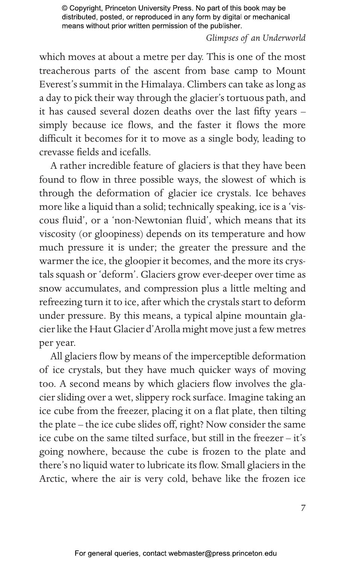#### *Glimpses of an Underworld*

which moves at about a metre per day. This is one of the most treacherous parts of the ascent from base camp to Mount Everest's summit in the Himalaya. Climbers can take as long as a day to pick their way through the glacier's tortuous path, and it has caused several dozen deaths over the last fifty years – simply because ice flows, and the faster it flows the more difficult it becomes for it to move as a single body, leading to crevasse fields and icefalls.

A rather incredible feature of glaciers is that they have been found to flow in three possible ways, the slowest of which is through the deformation of glacier ice crystals. Ice behaves more like a liquid than a solid; technically speaking, ice is a 'viscous fluid', or a 'non-Newtonian fluid', which means that its viscosity (or gloopiness) depends on its temperature and how much pressure it is under; the greater the pressure and the warmer the ice, the gloopier it becomes, and the more its crystals squash or 'deform'. Glaciers grow ever-deeper over time as snow accumulates, and compression plus a little melting and refreezing turn it to ice, after which the crystals start to deform under pressure. By this means, a typical alpine mountain glacier like the Haut Glacier d'Arolla might move just a few metres per year.

All glaciers flow by means of the imperceptible deformation of ice crystals, but they have much quicker ways of moving too. A second means by which glaciers flow involves the glacier sliding over a wet, slippery rock surface. Imagine taking an ice cube from the freezer, placing it on a flat plate, then tilting the plate – the ice cube slides off, right? Now consider the same ice cube on the same tilted surface, but still in the freezer – it's going nowhere, because the cube is frozen to the plate and there's no liquid water to lubricate its flow. Small glaciers in the Arctic, where the air is very cold, behave like the frozen ice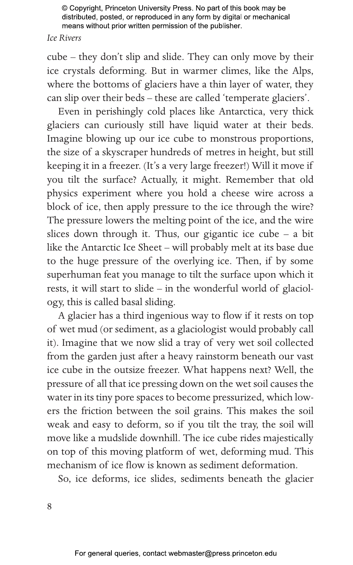# *Ice Rivers*

cube – they don't slip and slide. They can only move by their ice crystals deforming. But in warmer climes, like the Alps, where the bottoms of glaciers have a thin layer of water, they can slip over their beds – these are called 'temperate glaciers'.

Even in perishingly cold places like Antarctica, very thick glaciers can curiously still have liquid water at their beds. Imagine blowing up our ice cube to monstrous proportions, the size of a skyscraper hundreds of metres in height, but still keeping it in a freezer. (It's a very large freezer!) Will it move if you tilt the surface? Actually, it might. Remember that old physics experiment where you hold a cheese wire across a block of ice, then apply pressure to the ice through the wire? The pressure lowers the melting point of the ice, and the wire slices down through it. Thus, our gigantic ice cube  $-$  a bit like the Antarctic Ice Sheet – will probably melt at its base due to the huge pressure of the overlying ice. Then, if by some superhuman feat you manage to tilt the surface upon which it rests, it will start to slide – in the wonderful world of glaciology, this is called basal sliding.

A glacier has a third ingenious way to flow if it rests on top of wet mud (or sediment, as a glaciologist would probably call it). Imagine that we now slid a tray of very wet soil collected from the garden just after a heavy rainstorm beneath our vast ice cube in the outsize freezer. What happens next? Well, the pressure of all that ice pressing down on the wet soil causes the water in its tiny pore spaces to become pressurized, which lowers the friction between the soil grains. This makes the soil weak and easy to deform, so if you tilt the tray, the soil will move like a mudslide downhill. The ice cube rides majestically on top of this moving platform of wet, deforming mud. This mechanism of ice flow is known as sediment deformation.

So, ice deforms, ice slides, sediments beneath the glacier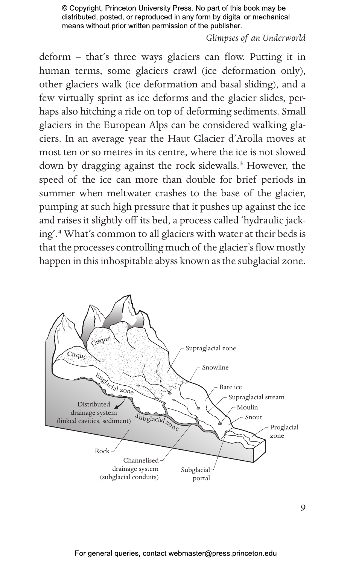*Glimpses of an Underworld*

deform – that's three ways glaciers can flow. Putting it in human terms, some glaciers crawl (ice deformation only), other glaciers walk (ice deformation and basal sliding), and a few virtually sprint as ice deforms and the glacier slides, perhaps also hitching a ride on top of deforming sediments. Small glaciers in the European Alps can be considered walking glaciers. In an average year the Haut Glacier d'Arolla moves at most ten or so metres in its centre, where the ice is not slowed down by dragging against the rock sidewalls.<sup>3</sup> However, the speed of the ice can more than double for brief periods in summer when meltwater crashes to the base of the glacier, pumping at such high pressure that it pushes up against the ice and raises it slightly off its bed, a process called 'hydraulic jacking'.4 What's common to all glaciers with water at their beds is that the processes controlling much of the glacier's flow mostly happen in this inhospitable abyss known as the subglacial zone.

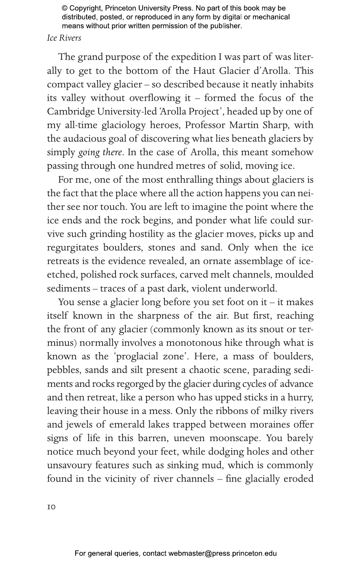# *Ice Rivers*

The grand purpose of the expedition I was part of was literally to get to the bottom of the Haut Glacier d'Arolla. This compact valley glacier – so described because it neatly inhabits its valley without overflowing it – formed the focus of the Cambridge University-led 'Arolla Project', headed up by one of my all-time glaciology heroes, Professor Martin Sharp, with the audacious goal of discovering what lies beneath glaciers by simply *going there*. In the case of Arolla, this meant somehow passing through one hundred metres of solid, moving ice.

For me, one of the most enthralling things about glaciers is the fact that the place where all the action happens you can neither see nor touch. You are left to imagine the point where the ice ends and the rock begins, and ponder what life could survive such grinding hostility as the glacier moves, picks up and regurgitates boulders, stones and sand. Only when the ice retreats is the evidence revealed, an ornate assemblage of ice etched, polished rock surfaces, carved melt channels, moulded sediments – traces of a past dark, violent underworld.

You sense a glacier long before you set foot on it – it makes itself known in the sharpness of the air. But first, reaching the front of any glacier (commonly known as its snout or terminus) normally involves a monotonous hike through what is known as the 'proglacial zone'. Here, a mass of boulders, pebbles, sands and silt present a chaotic scene, parading sediments and rocks regorged by the glacier during cycles of advance and then retreat, like a person who has upped sticks in a hurry, leaving their house in a mess. Only the ribbons of milky rivers and jewels of emerald lakes trapped between moraines offer signs of life in this barren, uneven moonscape. You barely notice much beyond your feet, while dodging holes and other unsavoury features such as sinking mud, which is commonly found in the vicinity of river channels – fine glacially eroded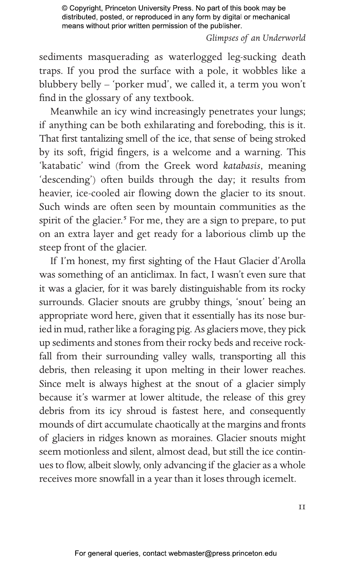#### *Glimpses of an Underworld*

sediments masquerading as waterlogged leg-sucking death traps. If you prod the surface with a pole, it wobbles like a blubbery belly – 'porker mud', we called it, a term you won't find in the glossary of any textbook.

Meanwhile an icy wind increasingly penetrates your lungs; if anything can be both exhilarating and foreboding, this is it. That first tantalizing smell of the ice, that sense of being stroked by its soft, frigid fingers, is a welcome and a warning. This 'katabatic' wind (from the Greek word *katabasis*, meaning 'descending') often builds through the day; it results from heavier, ice-cooled air flowing down the glacier to its snout. Such winds are often seen by mountain communities as the spirit of the glacier.<sup>5</sup> For me, they are a sign to prepare, to put on an extra layer and get ready for a laborious climb up the steep front of the glacier.

If I'm honest, my first sighting of the Haut Glacier d'Arolla was something of an anticlimax. In fact, I wasn't even sure that it was a glacier, for it was barely distinguishable from its rocky surrounds. Glacier snouts are grubby things, 'snout' being an appropriate word here, given that it essentially has its nose buried in mud, rather like a foraging pig. As glaciers move, they pick up sediments and stones from their rocky beds and receive rockfall from their surrounding valley walls, transporting all this debris, then releasing it upon melting in their lower reaches. Since melt is always highest at the snout of a glacier simply because it's warmer at lower altitude, the release of this grey debris from its icy shroud is fastest here, and consequently mounds of dirt accumulate chaotically at the margins and fronts of glaciers in ridges known as moraines. Glacier snouts might seem motionless and silent, almost dead, but still the ice continues to flow, albeit slowly, only advancing if the glacier as a whole receives more snowfall in a year than it loses through icemelt.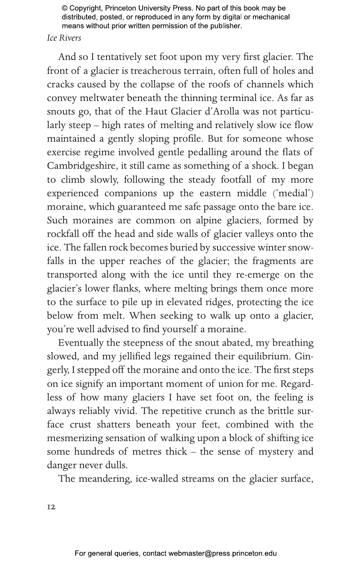# *Ice Rivers*

And so I tentatively set foot upon my very first glacier. The front of a glacier is treacherous terrain, often full of holes and cracks caused by the collapse of the roofs of channels which convey meltwater beneath the thinning terminal ice. As far as snouts go, that of the Haut Glacier d'Arolla was not particularly steep – high rates of melting and relatively slow ice flow maintained a gently sloping profile. But for someone whose exercise regime involved gentle pedalling around the flats of Cambridgeshire, it still came as something of a shock. I began to climb slowly, following the steady footfall of my more experienced companions up the eastern middle ('medial') moraine, which guaranteed me safe passage onto the bare ice. Such moraines are common on alpine glaciers, formed by rockfall off the head and side walls of glacier valleys onto the ice. The fallen rock becomes buried by successive winter snowfalls in the upper reaches of the glacier; the fragments are transported along with the ice until they re-emerge on the glacier's lower flanks, where melting brings them once more to the surface to pile up in elevated ridges, protecting the ice below from melt. When seeking to walk up onto a glacier, you're well advised to find yourself a moraine.

Eventually the steepness of the snout abated, my breathing slowed, and my jellified legs regained their equilibrium. Gingerly, I stepped off the moraine and onto the ice. The first steps on ice signify an important moment of union for me. Regardless of how many glaciers I have set foot on, the feeling is always reliably vivid. The repetitive crunch as the brittle surface crust shatters beneath your feet, combined with the mesmerizing sensation of walking upon a block of shifting ice some hundreds of metres thick – the sense of mystery and danger never dulls.

The meandering, ice-walled streams on the glacier surface,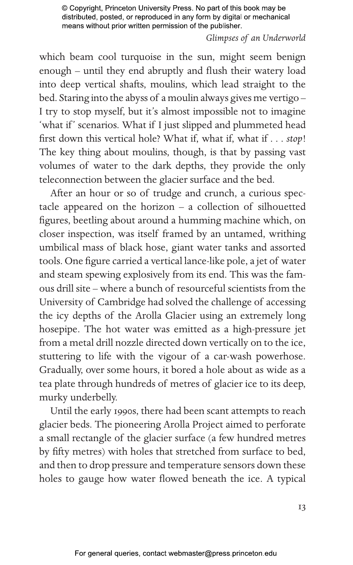#### *Glimpses of an Underworld*

which beam cool turquoise in the sun, might seem benign enough – until they end abruptly and flush their watery load into deep vertical shafts, moulins, which lead straight to the bed. Staring into the abyss of a moulin always gives me vertigo – I try to stop myself, but it's almost impossible not to imagine 'what if' scenarios. What if I just slipped and plummeted head first down this vertical hole? What if, what if, what if . . . *stop* ! The key thing about moulins, though, is that by passing vast volumes of water to the dark depths, they provide the only teleconnection between the glacier surface and the bed.

After an hour or so of trudge and crunch, a curious spectacle appeared on the horizon – a collection of silhouetted figures, beetling about around a humming machine which, on closer inspection, was itself framed by an untamed, writhing umbilical mass of black hose, giant water tanks and assorted tools. One figure carried a vertical lance-like pole, a jet of water and steam spewing explosively from its end. This was the famous drill site – where a bunch of resourceful scientists from the University of Cambridge had solved the challenge of accessing the icy depths of the Arolla Glacier using an extremely long hosepipe. The hot water was emitted as a high-pressure jet from a metal drill nozzle directed down vertically on to the ice, stuttering to life with the vigour of a car-wash powerhose. Gradually, over some hours, it bored a hole about as wide as a tea plate through hundreds of metres of glacier ice to its deep, murky underbelly.

Until the early 1990s, there had been scant attempts to reach glacier beds. The pioneering Arolla Project aimed to perforate a small rectangle of the glacier surface (a few hundred metres by fifty metres) with holes that stretched from surface to bed, and then to drop pressure and temperature sensors down these holes to gauge how water flowed beneath the ice. A typical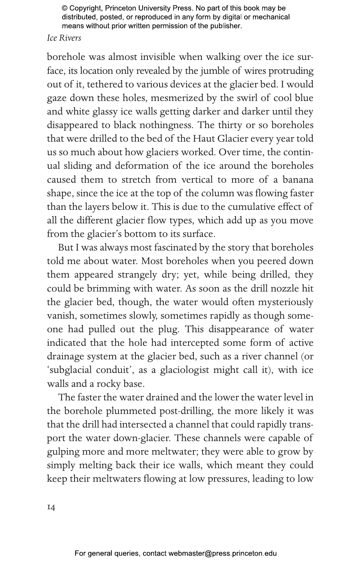# *Ice Rivers*

borehole was almost invisible when walking over the ice surface, its location only revealed by the jumble of wires protruding out of it, tethered to various devices at the glacier bed. I would gaze down these holes, mesmerized by the swirl of cool blue and white glassy ice walls getting darker and darker until they disappeared to black nothingness. The thirty or so boreholes that were drilled to the bed of the Haut Glacier every year told us so much about how glaciers worked. Over time, the continual sliding and deformation of the ice around the boreholes caused them to stretch from vertical to more of a banana shape, since the ice at the top of the column was flowing faster than the layers below it. This is due to the cumulative effect of all the different glacier flow types, which add up as you move from the glacier's bottom to its surface.

But I was always most fascinated by the story that boreholes told me about water. Most boreholes when you peered down them appeared strangely dry; yet, while being drilled, they could be brimming with water. As soon as the drill nozzle hit the glacier bed, though, the water would often mysteriously vanish, sometimes slowly, sometimes rapidly as though someone had pulled out the plug. This disappearance of water indicated that the hole had intercepted some form of active drainage system at the glacier bed, such as a river channel (or 'subglacial conduit', as a glaciologist might call it), with ice walls and a rocky base.

The faster the water drained and the lower the water level in the borehole plummeted post-drilling, the more likely it was that the drill had intersected a channel that could rapidly transport the water down-glacier. These channels were capable of gulping more and more meltwater; they were able to grow by simply melting back their ice walls, which meant they could keep their meltwaters flowing at low pressures, leading to low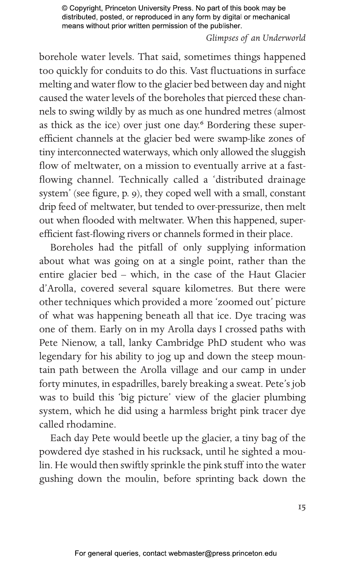#### *Glimpses of an Underworld*

borehole water levels. That said, sometimes things happened too quickly for conduits to do this. Vast fluctuations in surface melting and water flow to the glacier bed between day and night caused the water levels of the boreholes that pierced these channels to swing wildly by as much as one hundred metres (almost as thick as the ice) over just one day.6 Bordering these super efficient channels at the glacier bed were swamp-like zones of tiny interconnected waterways, which only allowed the sluggish flow of meltwater, on a mission to eventually arrive at a fast flowing channel. Technically called a 'distributed drainage system' (see figure, p. 9), they coped well with a small, constant drip feed of meltwater, but tended to over-pressurize, then melt out when flooded with meltwater. When this happened, super efficient fast-flowing rivers or channels formed in their place.

Boreholes had the pitfall of only supplying information about what was going on at a single point, rather than the entire glacier bed – which, in the case of the Haut Glacier d'Arolla, covered several square kilometres. But there were other techniques which provided a more 'zoomed out' picture of what was happening beneath all that ice. Dye tracing was one of them. Early on in my Arolla days I crossed paths with Pete Nienow, a tall, lanky Cambridge PhD student who was legendary for his ability to jog up and down the steep mountain path between the Arolla village and our camp in under forty minutes, in espadrilles, barely breaking a sweat. Pete's job was to build this 'big picture' view of the glacier plumbing system, which he did using a harmless bright pink tracer dye called rhodamine.

Each day Pete would beetle up the glacier, a tiny bag of the powdered dye stashed in his rucksack, until he sighted a moulin. He would then swiftly sprinkle the pink stuff into the water gushing down the moulin, before sprinting back down the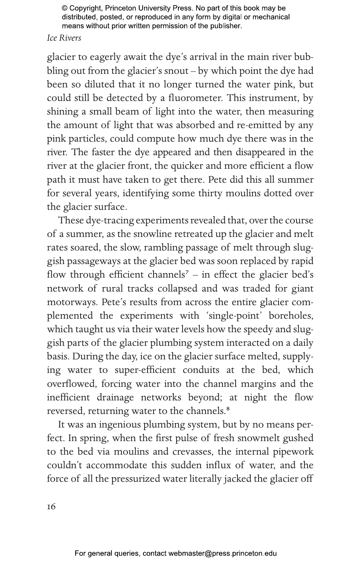# *Ice Rivers*

glacier to eagerly await the dye's arrival in the main river bubbling out from the glacier's snout – by which point the dye had been so diluted that it no longer turned the water pink, but could still be detected by a fluorometer. This instrument, by shining a small beam of light into the water, then measuring the amount of light that was absorbed and re-emitted by any pink particles, could compute how much dye there was in the river. The faster the dye appeared and then disappeared in the river at the glacier front, the quicker and more efficient a flow path it must have taken to get there. Pete did this all summer for several years, identifying some thirty moulins dotted over the glacier surface.

These dye-tracing experiments revealed that, over the course of a summer, as the snowline retreated up the glacier and melt rates soared, the slow, rambling passage of melt through sluggish passageways at the glacier bed was soon replaced by rapid flow through efficient channels<sup> $7$ </sup> – in effect the glacier bed's network of rural tracks collapsed and was traded for giant motorways. Pete's results from across the entire glacier complemented the experiments with 'single-point' boreholes, which taught us via their water levels how the speedy and sluggish parts of the glacier plumbing system interacted on a daily basis. During the day, ice on the glacier surface melted, supplying water to super-efficient conduits at the bed, which overflowed, forcing water into the channel margins and the inefficient drainage networks beyond; at night the flow reversed, returning water to the channels.<sup>8</sup>

It was an ingenious plumbing system, but by no means perfect. In spring, when the first pulse of fresh snowmelt gushed to the bed via moulins and crevasses, the internal pipework couldn't accommodate this sudden influx of water, and the force of all the pressurized water literally jacked the glacier off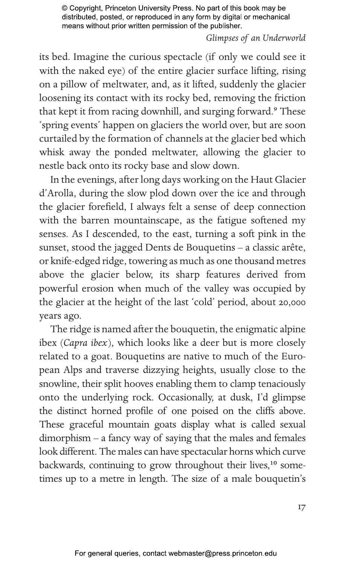### *Glimpses of an Underworld*

its bed. Imagine the curious spectacle (if only we could see it with the naked eye) of the entire glacier surface lifting, rising on a pillow of meltwater, and, as it lifted, suddenly the glacier loosening its contact with its rocky bed, removing the friction that kept it from racing downhill, and surging forward.<sup>9</sup> These 'spring events' happen on glaciers the world over, but are soon curtailed by the formation of channels at the glacier bed which whisk away the ponded meltwater, allowing the glacier to nestle back onto its rocky base and slow down.

In the evenings, after long days working on the Haut Glacier d'Arolla, during the slow plod down over the ice and through the glacier forefield, I always felt a sense of deep connection with the barren mountainscape, as the fatigue softened my senses. As I descended, to the east, turning a soft pink in the sunset, stood the jagged Dents de Bouquetins – a classic arête, or knife-edged ridge, towering as much as one thousand metres above the glacier below, its sharp features derived from powerful erosion when much of the valley was occupied by the glacier at the height of the last 'cold' period, about 20,000 years ago.

The ridge is named after the bouquetin, the enigmatic alpine ibex (*Capra ibex* ), which looks like a deer but is more closely related to a goat. Bouquetins are native to much of the European Alps and traverse dizzying heights, usually close to the snowline, their split hooves enabling them to clamp tenaciously onto the underlying rock. Occasionally, at dusk, I'd glimpse the distinct horned profile of one poised on the cliffs above. These graceful mountain goats display what is called sexual dimorphism – a fancy way of saying that the males and females look different. The males can have spectacular horns which curve backwards, continuing to grow throughout their lives,<sup>10</sup> sometimes up to a metre in length. The size of a male bouquetin's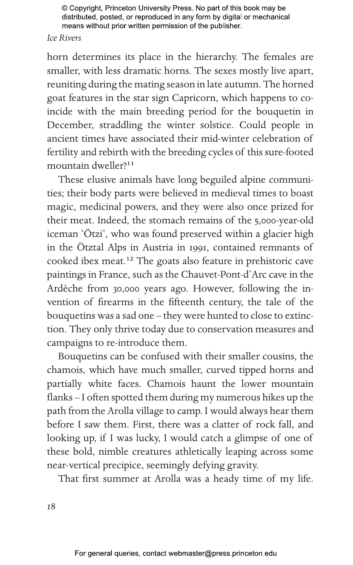# *Ice Rivers*

horn determines its place in the hierarchy. The females are smaller, with less dramatic horns. The sexes mostly live apart, reuniting during the mating season in late autumn. The horned goat features in the star sign Capricorn, which happens to coincide with the main breeding period for the bouquetin in December, straddling the winter solstice. Could people in ancient times have associated their mid-winter celebration of fertility and rebirth with the breeding cycles of this sure-footed mountain dweller?<sup>11</sup>

These elusive animals have long beguiled alpine communities; their body parts were believed in medieval times to boast magic, medicinal powers, and they were also once prized for their meat. Indeed, the stomach remains of the 5,000-year-old iceman 'Ötzi', who was found preserved within a glacier high in the Ötztal Alps in Austria in 1991, contained remnants of cooked ibex meat.12 The goats also feature in prehistoric cave paintings in France, such as the Chauvet-Pont-d'Arc cave in the Ardèche from 30,000 years ago. However, following the invention of firearms in the fifteenth century, the tale of the bouquetins was a sad one – they were hunted to close to extinction. They only thrive today due to conservation measures and campaigns to re-introduce them.

Bouquetins can be confused with their smaller cousins, the chamois, which have much smaller, curved tipped horns and partially white faces. Chamois haunt the lower mountain flanks – I often spotted them during my numerous hikes up the path from the Arolla village to camp. I would always hear them before I saw them. First, there was a clatter of rock fall, and looking up, if I was lucky, I would catch a glimpse of one of these bold, nimble creatures athletically leaping across some near-vertical precipice, seemingly defying gravity.

That first summer at Arolla was a heady time of my life.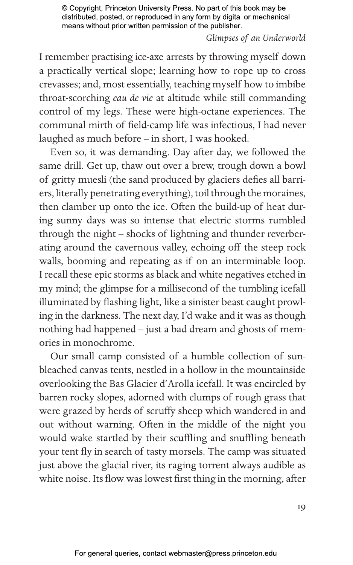#### *Glimpses of an Underworld*

I remember practising ice-axe arrests by throwing myself down a practically vertical slope; learning how to rope up to cross crevasses; and, most essentially, teaching myself how to imbibe throat-scorching *eau de vie* at altitude while still commanding control of my legs. These were high-octane experiences. The communal mirth of field-camp life was infectious, I had never laughed as much before – in short, I was hooked.

Even so, it was demanding. Day after day, we followed the same drill. Get up, thaw out over a brew, trough down a bowl of gritty muesli (the sand produced by glaciers defies all barriers, literally penetrating everything), toil through the moraines, then clamber up onto the ice. Often the build-up of heat during sunny days was so intense that electric storms rumbled through the night – shocks of lightning and thunder reverberating around the cavernous valley, echoing off the steep rock walls, booming and repeating as if on an interminable loop. I recall these epic storms as black and white negatives etched in my mind; the glimpse for a millisecond of the tumbling icefall illuminated by flashing light, like a sinister beast caught prowling in the darkness. The next day, I'd wake and it was as though nothing had happened – just a bad dream and ghosts of memories in monochrome.

Our small camp consisted of a humble collection of sun bleached canvas tents, nestled in a hollow in the mountainside overlooking the Bas Glacier d'Arolla icefall. It was encircled by barren rocky slopes, adorned with clumps of rough grass that were grazed by herds of scruffy sheep which wandered in and out without warning. Often in the middle of the night you would wake startled by their scuffling and snuffling beneath your tent fly in search of tasty morsels. The camp was situated just above the glacial river, its raging torrent always audible as white noise. Its flow was lowest first thing in the morning, after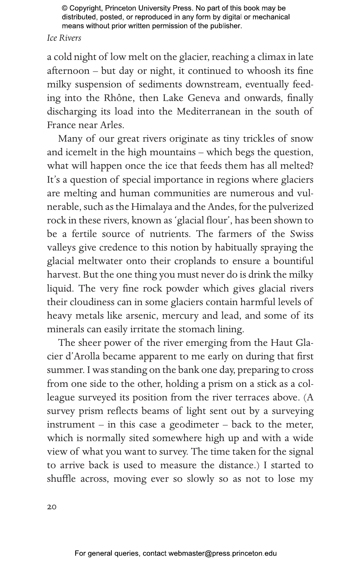# *Ice Rivers*

a cold night of low melt on the glacier, reaching a climax in late afternoon – but day or night, it continued to whoosh its fine milky suspension of sediments downstream, eventually feeding into the Rhône, then Lake Geneva and onwards, finally discharging its load into the Mediterranean in the south of France near Arles.

Many of our great rivers originate as tiny trickles of snow and icemelt in the high mountains – which begs the question, what will happen once the ice that feeds them has all melted? It's a question of special importance in regions where glaciers are melting and human communities are numerous and vulnerable, such as the Himalaya and the Andes, for the pulverized rock in these rivers, known as 'glacial flour', has been shown to be a fertile source of nutrients. The farmers of the Swiss valleys give credence to this notion by habitually spraying the glacial meltwater onto their croplands to ensure a bountiful harvest. But the one thing you must never do is drink the milky liquid. The very fine rock powder which gives glacial rivers their cloudiness can in some glaciers contain harmful levels of heavy metals like arsenic, mercury and lead, and some of its minerals can easily irritate the stomach lining.

The sheer power of the river emerging from the Haut Glacier d'Arolla became apparent to me early on during that first summer. I was standing on the bank one day, preparing to cross from one side to the other, holding a prism on a stick as a colleague surveyed its position from the river terraces above. (A survey prism reflects beams of light sent out by a surveying instrument  $-$  in this case a geodimeter  $-$  back to the meter, which is normally sited somewhere high up and with a wide view of what you want to survey. The time taken for the signal to arrive back is used to measure the distance.) I started to shuffle across, moving ever so slowly so as not to lose my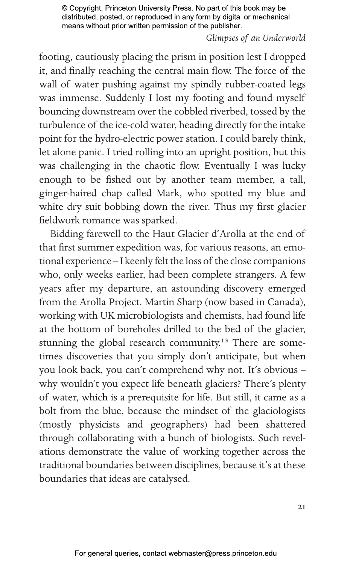#### *Glimpses of an Underworld*

footing, cautiously placing the prism in position lest I dropped it, and finally reaching the central main flow. The force of the wall of water pushing against my spindly rubber-coated legs was immense. Suddenly I lost my footing and found myself bouncing downstream over the cobbled riverbed, tossed by the turbulence of the ice-cold water, heading directly for the intake point for the hydro-electric power station. I could barely think, let alone panic. I tried rolling into an upright position, but this was challenging in the chaotic flow. Eventually I was lucky enough to be fished out by another team member, a tall, ginger-haired chap called Mark, who spotted my blue and white dry suit bobbing down the river. Thus my first glacier fieldwork romance was sparked.

Bidding farewell to the Haut Glacier d'Arolla at the end of that first summer expedition was, for various reasons, an emotional experience – I keenly felt the loss of the close companions who, only weeks earlier, had been complete strangers. A few years after my departure, an astounding discovery emerged from the Arolla Project. Martin Sharp (now based in Canada), working with UK microbiologists and chemists, had found life at the bottom of boreholes drilled to the bed of the glacier, stunning the global research community.<sup>13</sup> There are sometimes discoveries that you simply don't anticipate, but when you look back, you can't comprehend why not. It's obvious – why wouldn't you expect life beneath glaciers? There's plenty of water, which is a prerequisite for life. But still, it came as a bolt from the blue, because the mindset of the glaciologists (mostly physicists and geographers) had been shattered through collaborating with a bunch of biologists. Such revelations demonstrate the value of working together across the traditional boundaries between disciplines, because it's at these boundaries that ideas are catalysed.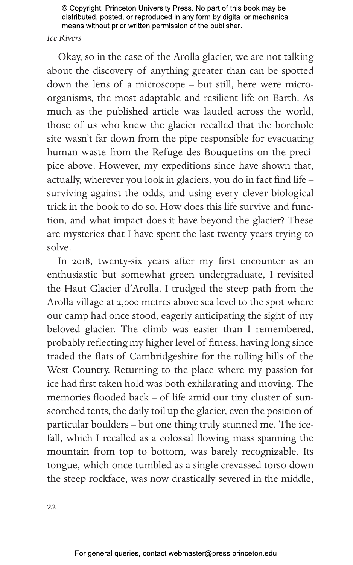# *Ice Rivers*

Okay, so in the case of the Arolla glacier, we are not talking about the discovery of anything greater than can be spotted down the lens of a microscope – but still, here were microorganisms, the most adaptable and resilient life on Earth. As much as the published article was lauded across the world, those of us who knew the glacier recalled that the borehole site wasn't far down from the pipe responsible for evacuating human waste from the Refuge des Bouquetins on the precipice above. However, my expeditions since have shown that, actually, wherever you look in glaciers, you do in fact find life – surviving against the odds, and using every clever biological trick in the book to do so. How does this life survive and function, and what impact does it have beyond the glacier? These are mysteries that I have spent the last twenty years trying to solve.

In 2018, twenty-six years after my first encounter as an enthusiastic but somewhat green undergraduate, I revisited the Haut Glacier d'Arolla. I trudged the steep path from the Arolla village at 2,000 metres above sea level to the spot where our camp had once stood, eagerly anticipating the sight of my beloved glacier. The climb was easier than I remembered, probably reflecting my higher level of fitness, having long since traded the flats of Cambridgeshire for the rolling hills of the West Country. Returning to the place where my passion for ice had first taken hold was both exhilarating and moving. The memories flooded back – of life amid our tiny cluster of sun scorched tents, the daily toil up the glacier, even the position of particular boulders – but one thing truly stunned me. The icefall, which I recalled as a colossal flowing mass spanning the mountain from top to bottom, was barely recognizable. Its tongue, which once tumbled as a single crevassed torso down the steep rockface, was now drastically severed in the middle,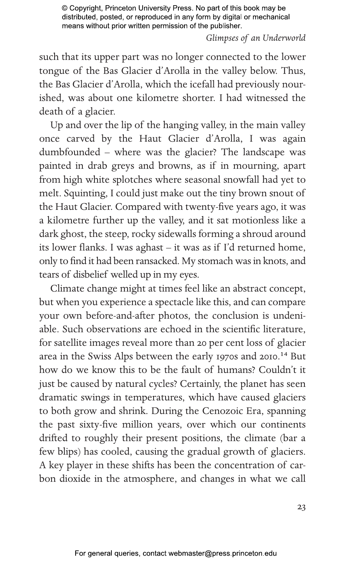*Glimpses of an Underworld*

such that its upper part was no longer connected to the lower tongue of the Bas Glacier d'Arolla in the valley below. Thus, the Bas Glacier d'Arolla, which the icefall had previously nourished, was about one kilometre shorter. I had witnessed the death of a glacier.

Up and over the lip of the hanging valley, in the main valley once carved by the Haut Glacier d'Arolla, I was again dumbfounded - where was the glacier? The landscape was painted in drab greys and browns, as if in mourning, apart from high white splotches where seasonal snowfall had yet to melt. Squinting, I could just make out the tiny brown snout of the Haut Glacier. Compared with twenty-five years ago, it was a kilometre further up the valley, and it sat motionless like a dark ghost, the steep, rocky sidewalls forming a shroud around its lower flanks. I was aghast – it was as if I'd returned home, only to find it had been ransacked. My stomach was in knots, and tears of disbelief welled up in my eyes.

Climate change might at times feel like an abstract concept, but when you experience a spectacle like this, and can compare your own before-and-after photos, the conclusion is undeniable. Such observations are echoed in the scientific literature, for satellite images reveal more than 20 per cent loss of glacier area in the Swiss Alps between the early 1970s and 2010.<sup>14</sup> But how do we know this to be the fault of humans? Couldn't it just be caused by natural cycles? Certainly, the planet has seen dramatic swings in temperatures, which have caused glaciers to both grow and shrink. During the Cenozoic Era, spanning the past sixty-five million years, over which our continents drifted to roughly their present positions, the climate (bar a few blips) has cooled, causing the gradual growth of glaciers. A key player in these shifts has been the concentration of carbon dioxide in the atmosphere, and changes in what we call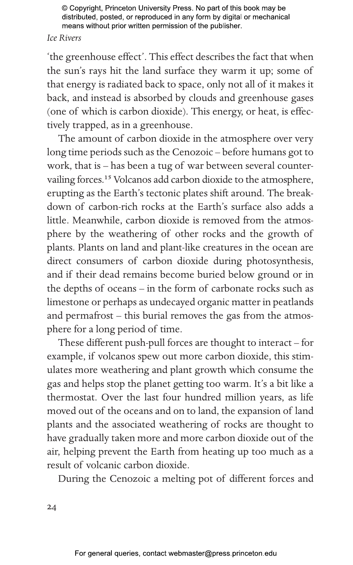# *Ice Rivers*

'the greenhouse effect'. This effect describes the fact that when the sun's rays hit the land surface they warm it up; some of that energy is radiated back to space, only not all of it makes it back, and instead is absorbed by clouds and greenhouse gases (one of which is carbon dioxide). This energy, or heat, is effectively trapped, as in a greenhouse.

The amount of carbon dioxide in the atmosphere over very long time periods such as the Cenozoic – before humans got to work, that is – has been a tug of war between several countervailing forces.<sup>15</sup> Volcanos add carbon dioxide to the atmosphere, erupting as the Earth's tectonic plates shift around. The breakdown of carbon-rich rocks at the Earth's surface also adds a little. Meanwhile, carbon dioxide is removed from the atmosphere by the weathering of other rocks and the growth of plants. Plants on land and plant-like creatures in the ocean are direct consumers of carbon dioxide during photosynthesis, and if their dead remains become buried below ground or in the depths of oceans – in the form of carbonate rocks such as limestone or perhaps as undecayed organic matter in peatlands and permafrost – this burial removes the gas from the atmosphere for a long period of time.

These different push-pull forces are thought to interact – for example, if volcanos spew out more carbon dioxide, this stimulates more weathering and plant growth which consume the gas and helps stop the planet getting too warm. It's a bit like a thermostat. Over the last four hundred million years, as life moved out of the oceans and on to land, the expansion of land plants and the associated weathering of rocks are thought to have gradually taken more and more carbon dioxide out of the air, helping prevent the Earth from heating up too much as a result of volcanic carbon dioxide.

During the Cenozoic a melting pot of different forces and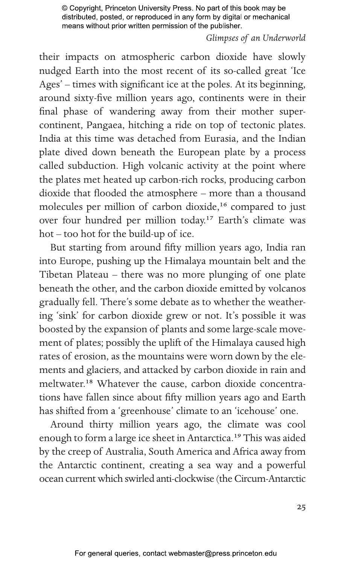#### *Glimpses of an Underworld*

their impacts on atmospheric carbon dioxide have slowly nudged Earth into the most recent of its so-called great 'Ice Ages' – times with significant ice at the poles. At its beginning, around sixty-five million years ago, continents were in their final phase of wandering away from their mother super continent, Pangaea, hitching a ride on top of tectonic plates. India at this time was detached from Eurasia, and the Indian plate dived down beneath the European plate by a process called subduction. High volcanic activity at the point where the plates met heated up carbon-rich rocks, producing carbon dioxide that flooded the atmosphere – more than a thousand molecules per million of carbon dioxide,<sup>16</sup> compared to just over four hundred per million today.17 Earth's climate was hot – too hot for the build-up of ice.

But starting from around fifty million years ago, India ran into Europe, pushing up the Himalaya mountain belt and the Tibetan Plateau – there was no more plunging of one plate beneath the other, and the carbon dioxide emitted by volcanos gradually fell. There's some debate as to whether the weathering 'sink' for carbon dioxide grew or not. It's possible it was boosted by the expansion of plants and some large-scale movement of plates; possibly the uplift of the Himalaya caused high rates of erosion, as the mountains were worn down by the elements and glaciers, and attacked by carbon dioxide in rain and meltwater.18 Whatever the cause, carbon dioxide concentrations have fallen since about fifty million years ago and Earth has shifted from a 'greenhouse' climate to an 'icehouse' one.

Around thirty million years ago, the climate was cool enough to form a large ice sheet in Antarctica.<sup>19</sup> This was aided by the creep of Australia, South America and Africa away from the Antarctic continent, creating a sea way and a powerful ocean current which swirled anti-clockwise (the Circum-Antarctic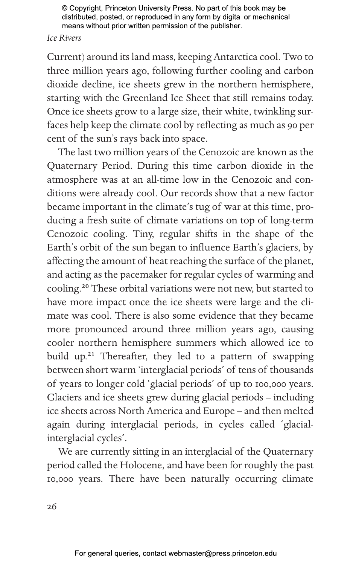# *Ice Rivers*

Current) around its land mass, keeping Antarctica cool. Two to three million years ago, following further cooling and carbon dioxide decline, ice sheets grew in the northern hemisphere, starting with the Greenland Ice Sheet that still remains today. Once ice sheets grow to a large size, their white, twinkling surfaces help keep the climate cool by reflecting as much as 90 per cent of the sun's rays back into space.

The last two million years of the Cenozoic are known as the Quaternary Period. During this time carbon dioxide in the atmosphere was at an all-time low in the Cenozoic and conditions were already cool. Our records show that a new factor became important in the climate's tug of war at this time, producing a fresh suite of climate variations on top of long-term Cenozoic cooling. Tiny, regular shifts in the shape of the Earth's orbit of the sun began to influence Earth's glaciers, by affecting the amount of heat reaching the surface of the planet, and acting as the pacemaker for regular cycles of warming and cooling.20 These orbital variations were not new, but started to have more impact once the ice sheets were large and the climate was cool. There is also some evidence that they became more pronounced around three million years ago, causing cooler northern hemisphere summers which allowed ice to build up.<sup>21</sup> Thereafter, they led to a pattern of swapping between short warm 'interglacial periods' of tens of thousands of years to longer cold 'glacial periods' of up to 100,000 years. Glaciers and ice sheets grew during glacial periods – including ice sheets across North America and Europe – and then melted again during interglacial periods, in cycles called 'glacial interglacial cycles'.

We are currently sitting in an interglacial of the Quaternary period called the Holocene, and have been for roughly the past 10,000 years. There have been naturally occurring climate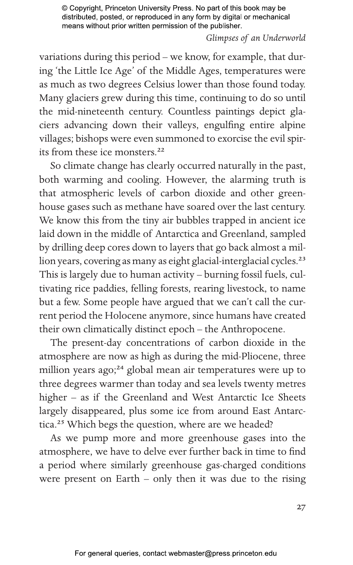#### *Glimpses of an Underworld*

variations during this period – we know, for example, that during 'the Little Ice Age' of the Middle Ages, temperatures were as much as two degrees Celsius lower than those found today. Many glaciers grew during this time, continuing to do so until the mid-nineteenth century. Countless paintings depict glaciers advancing down their valleys, engulfing entire alpine villages; bishops were even summoned to exorcise the evil spirits from these ice monsters.<sup>22</sup>

So climate change has clearly occurred naturally in the past, both warming and cooling. However, the alarming truth is that atmospheric levels of carbon dioxide and other greenhouse gases such as methane have soared over the last century. We know this from the tiny air bubbles trapped in ancient ice laid down in the middle of Antarctica and Greenland, sampled by drilling deep cores down to layers that go back almost a million years, covering as many as eight glacial-interglacial cycles.<sup>23</sup> This is largely due to human activity – burning fossil fuels, cultivating rice paddies, felling forests, rearing livestock, to name but a few. Some people have argued that we can't call the current period the Holocene anymore, since humans have created their own climatically distinct epoch – the Anthropocene.

The present-day concentrations of carbon dioxide in the atmosphere are now as high as during the mid-Pliocene, three million years ago;<sup>24</sup> global mean air temperatures were up to three degrees warmer than today and sea levels twenty metres higher – as if the Greenland and West Antarctic Ice Sheets largely disappeared, plus some ice from around East Antarctica.<sup>25</sup> Which begs the question, where are we headed?

As we pump more and more greenhouse gases into the atmosphere, we have to delve ever further back in time to find a period where similarly greenhouse gas-charged conditions were present on Earth  $-$  only then it was due to the rising